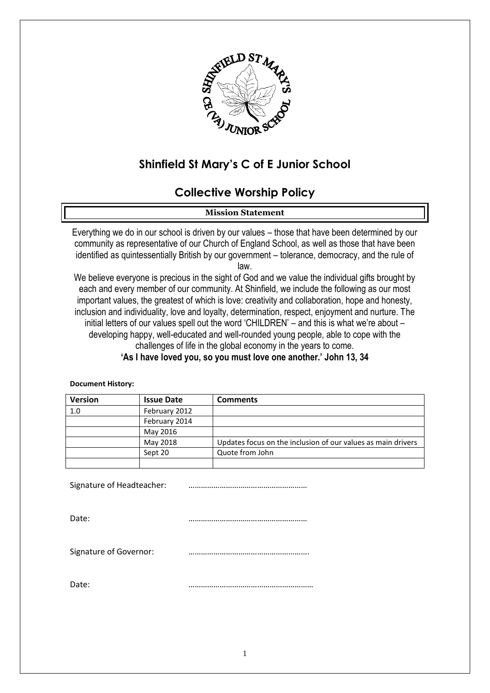

# **Shinfield St Mary's C of E Junior School**

# **Collective Worship Policy**

#### **Mission Statement**

Everything we do in our school is driven by our values – those that have been determined by our community as representative of our Church of England School, as well as those that have been identified as quintessentially British by our government – tolerance, democracy, and the rule of law.

We believe everyone is precious in the sight of God and we value the individual gifts brought by each and every member of our community. At Shinfield, we include the following as our most important values, the greatest of which is love: creativity and collaboration, hope and honesty, inclusion and individuality, love and loyalty, determination, respect, enjoyment and nurture. The initial letters of our values spell out the word 'CHILDREN' – and this is what we're about – developing happy, well-educated and well-rounded young people, able to cope with the challenges of life in the global economy in the years to come.

**'As I have loved you, so you must love one another.' John 13, 34**

#### **Document History:**

| <b>Version</b> | <b>Issue Date</b> | <b>Comments</b>                                              |
|----------------|-------------------|--------------------------------------------------------------|
| 1.0            | February 2012     |                                                              |
|                | February 2014     |                                                              |
|                | May 2016          |                                                              |
|                | May 2018          | Updates focus on the inclusion of our values as main drivers |
|                | Sept 20           | Quote from John                                              |
|                |                   |                                                              |

Signature of Headteacher: …………………………………………………

Date: …………………………………………………

Signature of Governor: **with an allocate and the Signature of Governor:** 

Date: ……………………………………………………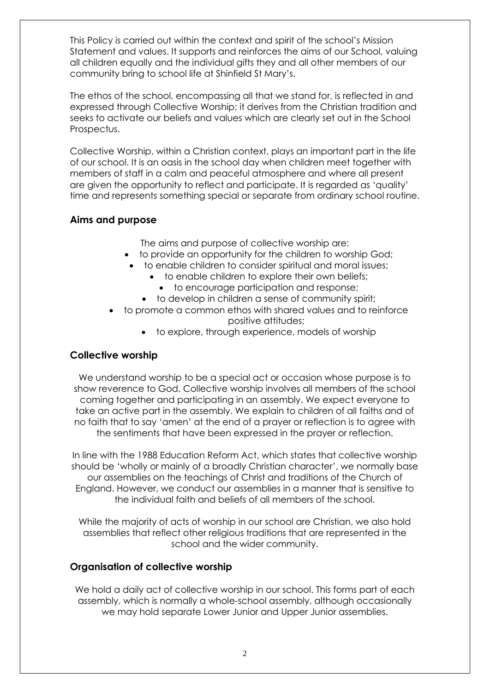This Policy is carried out within the context and spirit of the school's Mission Statement and values. It supports and reinforces the aims of our School, valuing all children equally and the individual gifts they and all other members of our community bring to school life at Shinfield St Mary's.

The ethos of the school, encompassing all that we stand for, is reflected in and expressed through Collective Worship; it derives from the Christian tradition and seeks to activate our beliefs and values which are clearly set out in the School Prospectus.

Collective Worship, within a Christian context, plays an important part in the life of our school. It is an oasis in the school day when children meet together with members of staff in a calm and peaceful atmosphere and where all present are given the opportunity to reflect and participate. It is regarded as 'quality' time and represents something special or separate from ordinary school routine.

### **Aims and purpose**

The aims and purpose of collective worship are:

- to provide an opportunity for the children to worship God;
- to enable children to consider spiritual and moral issues;
	- to enable children to explore their own beliefs;
		- to encourage participation and response;
	- to develop in children a sense of community spirit;
- to promote a common ethos with shared values and to reinforce positive attitudes;
	- to explore, through experience, models of worship

## **Collective worship**

We understand worship to be a special act or occasion whose purpose is to show reverence to God. Collective worship involves all members of the school coming together and participating in an assembly. We expect everyone to take an active part in the assembly. We explain to children of all faiths and of no faith that to say 'amen' at the end of a prayer or reflection is to agree with the sentiments that have been expressed in the prayer or reflection.

In line with the 1988 Education Reform Act, which states that collective worship should be 'wholly or mainly of a broadly Christian character', we normally base our assemblies on the teachings of Christ and traditions of the Church of England. However, we conduct our assemblies in a manner that is sensitive to the individual faith and beliefs of all members of the school.

While the majority of acts of worship in our school are Christian, we also hold assemblies that reflect other religious traditions that are represented in the school and the wider community.

## **Organisation of collective worship**

We hold a daily act of collective worship in our school. This forms part of each assembly, which is normally a whole-school assembly, although occasionally we may hold separate Lower Junior and Upper Junior assemblies.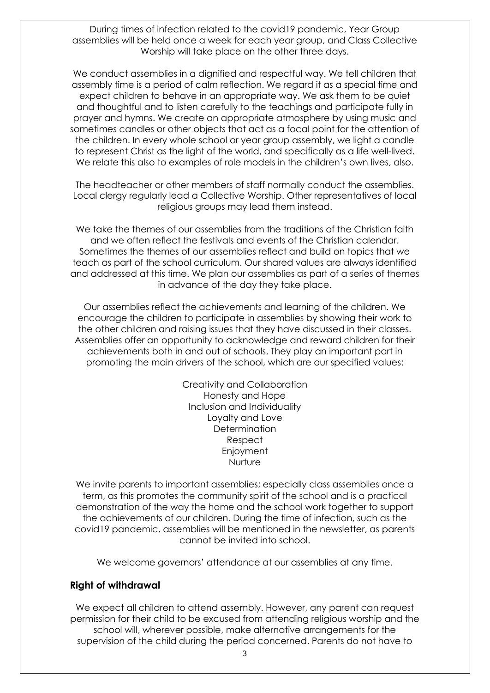During times of infection related to the covid19 pandemic, Year Group assemblies will be held once a week for each year group, and Class Collective Worship will take place on the other three days.

We conduct assemblies in a dignified and respectful way. We tell children that assembly time is a period of calm reflection. We regard it as a special time and expect children to behave in an appropriate way. We ask them to be quiet and thoughtful and to listen carefully to the teachings and participate fully in prayer and hymns. We create an appropriate atmosphere by using music and sometimes candles or other objects that act as a focal point for the attention of the children. In every whole school or year group assembly, we light a candle to represent Christ as the light of the world, and specifically as a life well-lived. We relate this also to examples of role models in the children's own lives, also.

The headteacher or other members of staff normally conduct the assemblies. Local clergy regularly lead a Collective Worship. Other representatives of local religious groups may lead them instead.

We take the themes of our assemblies from the traditions of the Christian faith and we often reflect the festivals and events of the Christian calendar. Sometimes the themes of our assemblies reflect and build on topics that we teach as part of the school curriculum. Our shared values are always identified and addressed at this time. We plan our assemblies as part of a series of themes in advance of the day they take place.

Our assemblies reflect the achievements and learning of the children. We encourage the children to participate in assemblies by showing their work to the other children and raising issues that they have discussed in their classes. Assemblies offer an opportunity to acknowledge and reward children for their achievements both in and out of schools. They play an important part in promoting the main drivers of the school, which are our specified values:

> Creativity and Collaboration Honesty and Hope Inclusion and Individuality Loyalty and Love **Determination** Respect Enjoyment Nurture

We invite parents to important assemblies; especially class assemblies once a term, as this promotes the community spirit of the school and is a practical demonstration of the way the home and the school work together to support the achievements of our children. During the time of infection, such as the covid19 pandemic, assemblies will be mentioned in the newsletter, as parents cannot be invited into school.

We welcome governors' attendance at our assemblies at any time.

#### **Right of withdrawal**

We expect all children to attend assembly. However, any parent can request permission for their child to be excused from attending religious worship and the school will, wherever possible, make alternative arrangements for the supervision of the child during the period concerned. Parents do not have to